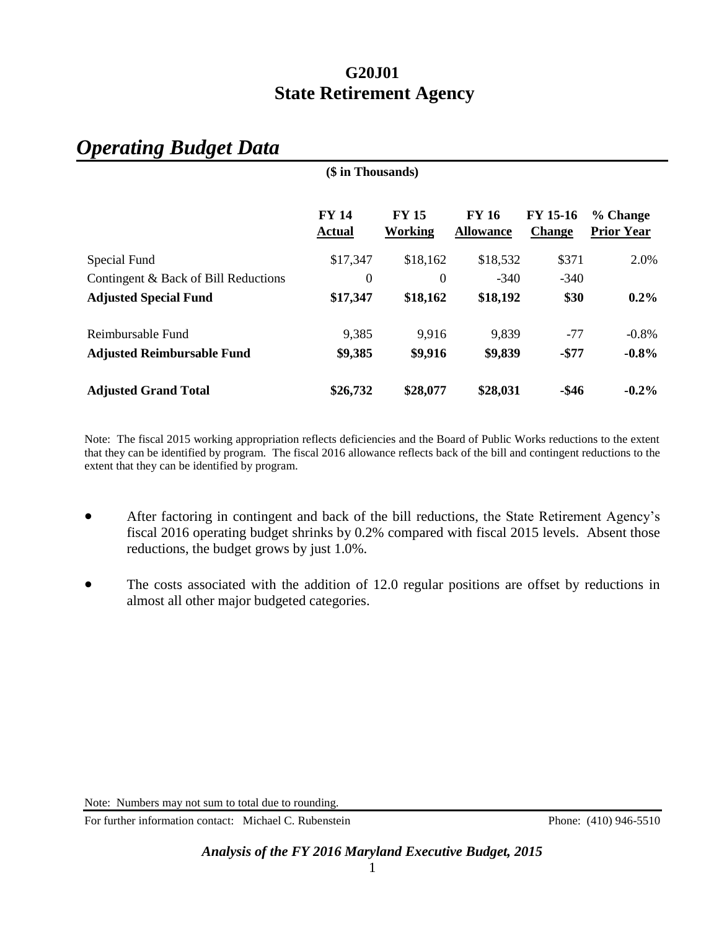## **G20J01 State Retirement Agency**

| (\$ in Thousands)                    |                               |                                |                                  |                                  |                               |
|--------------------------------------|-------------------------------|--------------------------------|----------------------------------|----------------------------------|-------------------------------|
|                                      | <b>FY 14</b><br><b>Actual</b> | <b>FY 15</b><br><b>Working</b> | <b>FY 16</b><br><b>Allowance</b> | <b>FY 15-16</b><br><b>Change</b> | % Change<br><b>Prior Year</b> |
| Special Fund                         | \$17,347                      | \$18,162                       | \$18,532                         | \$371                            | 2.0%                          |
| Contingent & Back of Bill Reductions | 0                             | $\boldsymbol{0}$               | $-340$                           | $-340$                           |                               |
| <b>Adjusted Special Fund</b>         | \$17,347                      | \$18,162                       | \$18,192                         | \$30                             | $0.2\%$                       |
| Reimbursable Fund                    | 9,385                         | 9,916                          | 9,839                            | $-77$                            | $-0.8%$                       |
| <b>Adjusted Reimbursable Fund</b>    | \$9,385                       | \$9,916                        | \$9,839                          | $-$77$                           | $-0.8%$                       |
| <b>Adjusted Grand Total</b>          | \$26,732                      | \$28,077                       | \$28,031                         | $-$ \$46                         | $-0.2\%$                      |

# *Operating Budget Data*

Note: The fiscal 2015 working appropriation reflects deficiencies and the Board of Public Works reductions to the extent that they can be identified by program. The fiscal 2016 allowance reflects back of the bill and contingent reductions to the extent that they can be identified by program.

- After factoring in contingent and back of the bill reductions, the State Retirement Agency's fiscal 2016 operating budget shrinks by 0.2% compared with fiscal 2015 levels. Absent those reductions, the budget grows by just 1.0%.
- The costs associated with the addition of 12.0 regular positions are offset by reductions in almost all other major budgeted categories.

For further information contact: Michael C. Rubenstein Phone: (410) 946-5510

Note: Numbers may not sum to total due to rounding.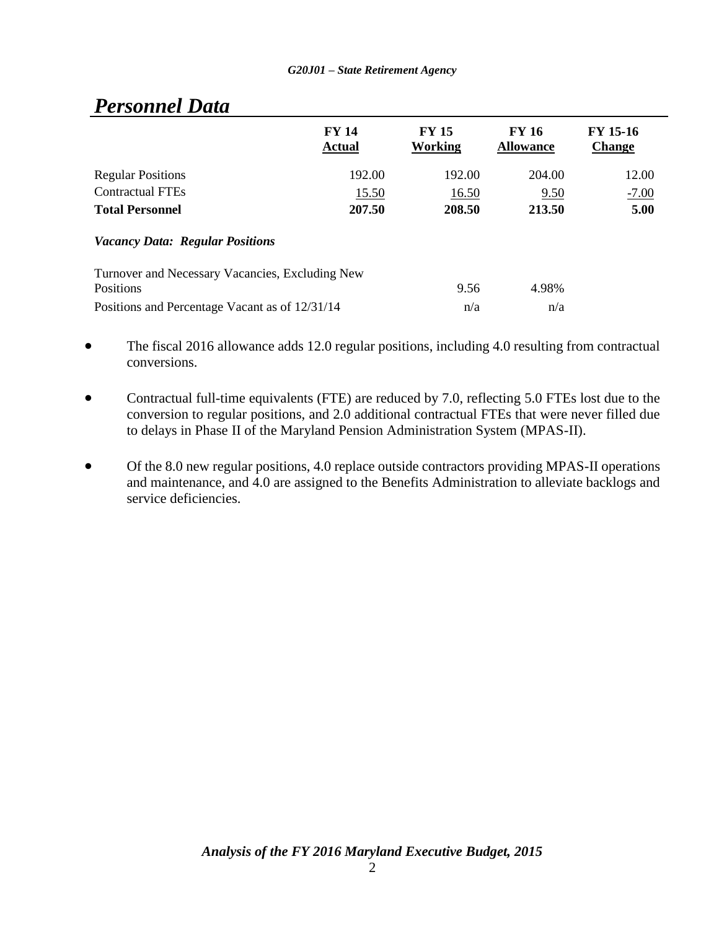|                                                 | <b>FY 14</b><br><b>Actual</b> | <b>FY 15</b><br>Working | <b>FY 16</b><br><b>Allowance</b> | <b>FY 15-16</b><br><b>Change</b> |
|-------------------------------------------------|-------------------------------|-------------------------|----------------------------------|----------------------------------|
| <b>Regular Positions</b>                        | 192.00                        | 192.00                  | 204.00                           | 12.00                            |
| <b>Contractual FTEs</b>                         | 15.50                         | 16.50                   | 9.50                             | $-7.00$                          |
| <b>Total Personnel</b>                          | 207.50                        | 208.50                  | 213.50                           | 5.00                             |
| <b>Vacancy Data: Regular Positions</b>          |                               |                         |                                  |                                  |
| Turnover and Necessary Vacancies, Excluding New |                               |                         |                                  |                                  |
| <b>Positions</b>                                |                               | 9.56                    | 4.98%                            |                                  |
| Positions and Percentage Vacant as of 12/31/14  |                               | n/a                     | n/a                              |                                  |

# *Personnel Data*

- The fiscal 2016 allowance adds 12.0 regular positions, including 4.0 resulting from contractual conversions.
- Contractual full-time equivalents (FTE) are reduced by 7.0, reflecting 5.0 FTEs lost due to the conversion to regular positions, and 2.0 additional contractual FTEs that were never filled due to delays in Phase II of the Maryland Pension Administration System (MPAS-II).
- Of the 8.0 new regular positions, 4.0 replace outside contractors providing MPAS-II operations and maintenance, and 4.0 are assigned to the Benefits Administration to alleviate backlogs and service deficiencies.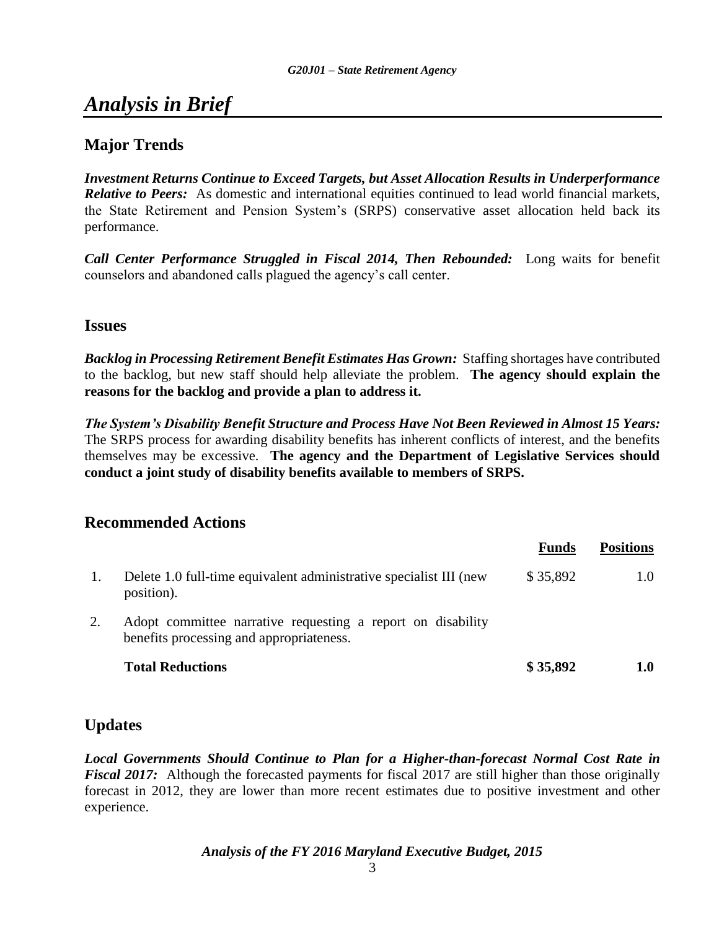# *Analysis in Brief*

## **Major Trends**

*Investment Returns Continue to Exceed Targets, but Asset Allocation Results in Underperformance Relative to Peers:* As domestic and international equities continued to lead world financial markets, the State Retirement and Pension System's (SRPS) conservative asset allocation held back its performance.

*Call Center Performance Struggled in Fiscal 2014, Then Rebounded:* Long waits for benefit counselors and abandoned calls plagued the agency's call center.

### **Issues**

*Backlog in Processing Retirement Benefit Estimates Has Grown:* Staffing shortages have contributed to the backlog, but new staff should help alleviate the problem. **The agency should explain the reasons for the backlog and provide a plan to address it.**

*The System's Disability Benefit Structure and Process Have Not Been Reviewed in Almost 15 Years:* The SRPS process for awarding disability benefits has inherent conflicts of interest, and the benefits themselves may be excessive. **The agency and the Department of Legislative Services should conduct a joint study of disability benefits available to members of SRPS.**

### **Recommended Actions**

|    |                                                                                                         | <b>Funds</b> | <b>Positions</b> |
|----|---------------------------------------------------------------------------------------------------------|--------------|------------------|
| 1. | Delete 1.0 full-time equivalent administrative specialist III (new<br>position).                        | \$35,892     | 1.0              |
| 2. | Adopt committee narrative requesting a report on disability<br>benefits processing and appropriateness. |              |                  |
|    | <b>Total Reductions</b>                                                                                 | \$35,892     | 1.0              |

## **Updates**

*Local Governments Should Continue to Plan for a Higher-than-forecast Normal Cost Rate in Fiscal 2017:* Although the forecasted payments for fiscal 2017 are still higher than those originally forecast in 2012, they are lower than more recent estimates due to positive investment and other experience.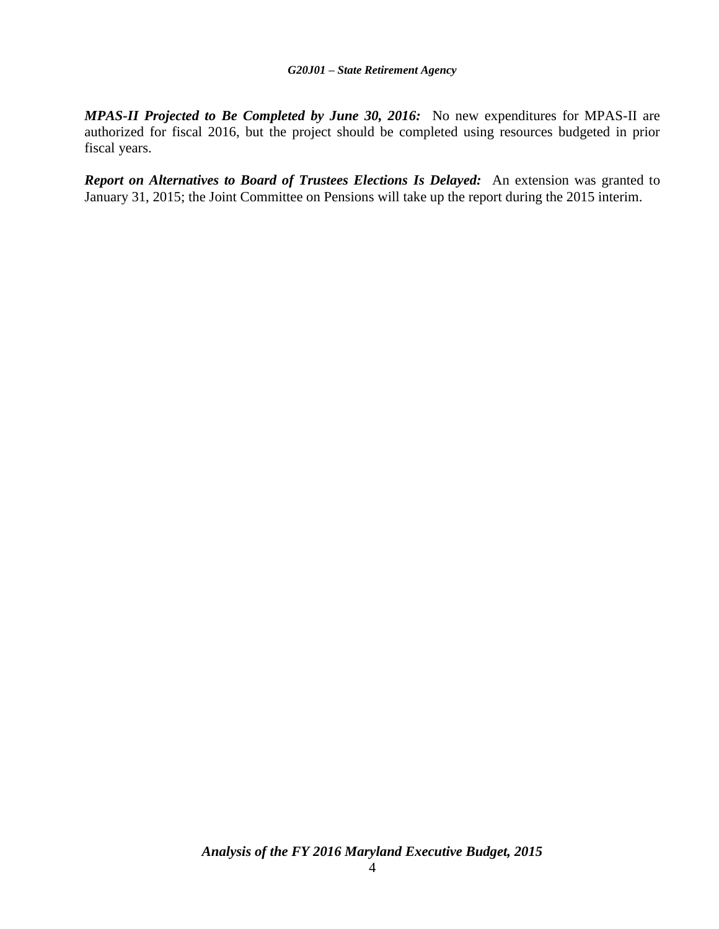*MPAS-II Projected to Be Completed by June 30, 2016:* No new expenditures for MPAS-II are authorized for fiscal 2016, but the project should be completed using resources budgeted in prior fiscal years.

*Report on Alternatives to Board of Trustees Elections Is Delayed:* An extension was granted to January 31, 2015; the Joint Committee on Pensions will take up the report during the 2015 interim.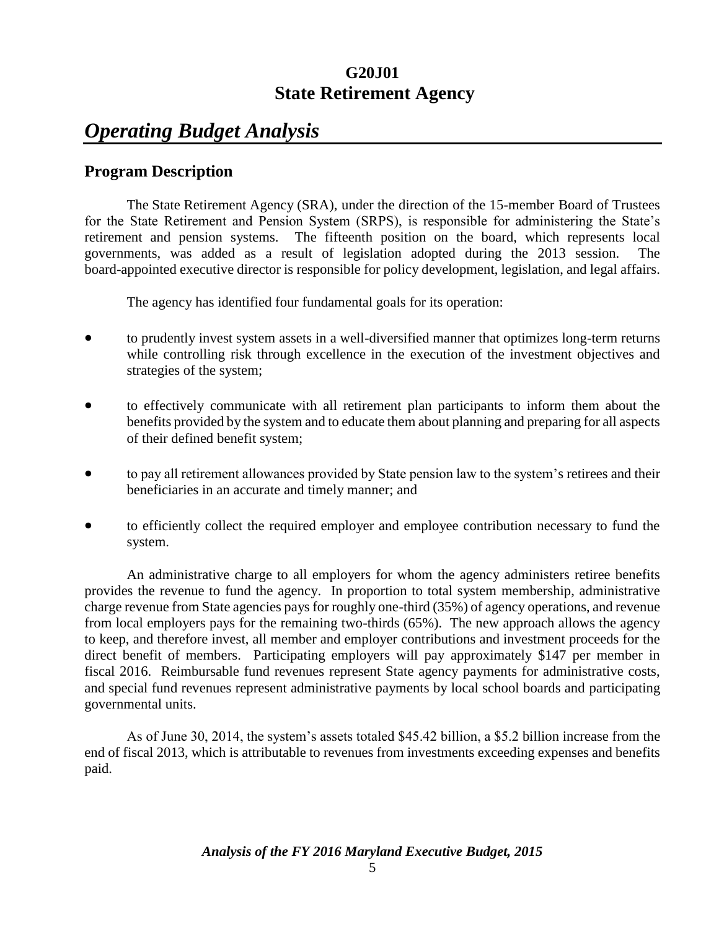## **G20J01 State Retirement Agency**

# *Operating Budget Analysis*

## **Program Description**

The State Retirement Agency (SRA), under the direction of the 15-member Board of Trustees for the State Retirement and Pension System (SRPS), is responsible for administering the State's retirement and pension systems. The fifteenth position on the board, which represents local governments, was added as a result of legislation adopted during the 2013 session. The board-appointed executive director is responsible for policy development, legislation, and legal affairs.

The agency has identified four fundamental goals for its operation:

- to prudently invest system assets in a well-diversified manner that optimizes long-term returns while controlling risk through excellence in the execution of the investment objectives and strategies of the system;
- to effectively communicate with all retirement plan participants to inform them about the benefits provided by the system and to educate them about planning and preparing for all aspects of their defined benefit system;
- to pay all retirement allowances provided by State pension law to the system's retirees and their beneficiaries in an accurate and timely manner; and
- to efficiently collect the required employer and employee contribution necessary to fund the system.

An administrative charge to all employers for whom the agency administers retiree benefits provides the revenue to fund the agency. In proportion to total system membership, administrative charge revenue from State agencies pays for roughly one-third (35%) of agency operations, and revenue from local employers pays for the remaining two-thirds (65%). The new approach allows the agency to keep, and therefore invest, all member and employer contributions and investment proceeds for the direct benefit of members. Participating employers will pay approximately \$147 per member in fiscal 2016. Reimbursable fund revenues represent State agency payments for administrative costs, and special fund revenues represent administrative payments by local school boards and participating governmental units.

As of June 30, 2014, the system's assets totaled \$45.42 billion, a \$5.2 billion increase from the end of fiscal 2013, which is attributable to revenues from investments exceeding expenses and benefits paid.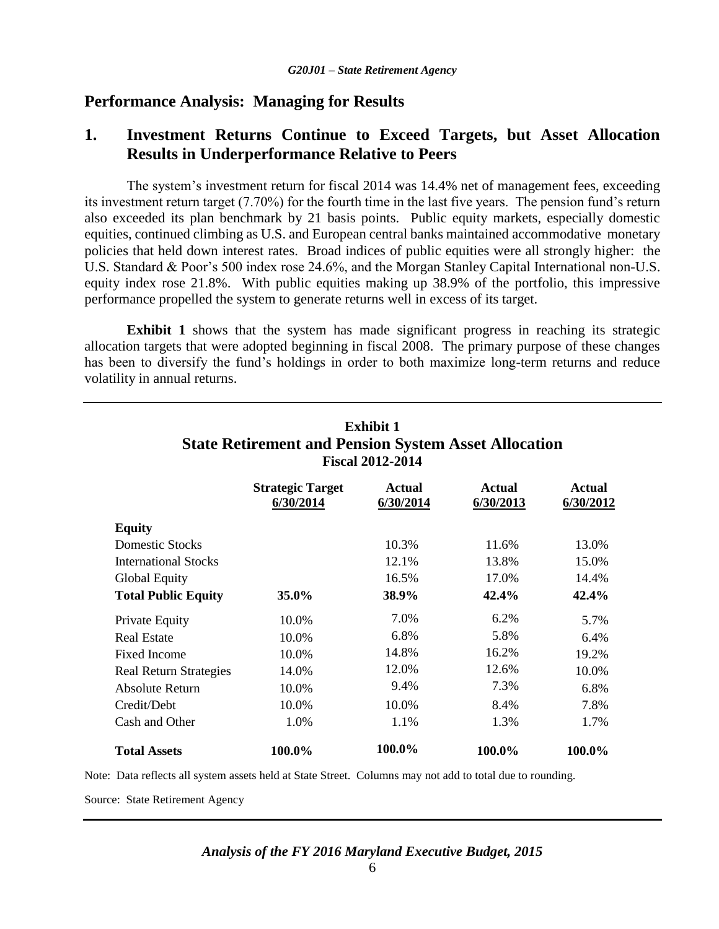## **Performance Analysis: Managing for Results**

## **1. Investment Returns Continue to Exceed Targets, but Asset Allocation Results in Underperformance Relative to Peers**

The system's investment return for fiscal 2014 was 14.4% net of management fees, exceeding its investment return target (7.70%) for the fourth time in the last five years. The pension fund's return also exceeded its plan benchmark by 21 basis points. Public equity markets, especially domestic equities, continued climbing as U.S. and European central banks maintained accommodative monetary policies that held down interest rates. Broad indices of public equities were all strongly higher: the U.S. Standard & Poor's 500 index rose 24.6%, and the Morgan Stanley Capital International non-U.S. equity index rose 21.8%. With public equities making up 38.9% of the portfolio, this impressive performance propelled the system to generate returns well in excess of its target.

**Exhibit 1** shows that the system has made significant progress in reaching its strategic allocation targets that were adopted beginning in fiscal 2008. The primary purpose of these changes has been to diversify the fund's holdings in order to both maximize long-term returns and reduce volatility in annual returns.

|                               | <b>Strategic Target</b><br>6/30/2014 | <b>Actual</b><br>6/30/2014 | Actual<br>6/30/2013 | Actual<br>6/30/2012 |
|-------------------------------|--------------------------------------|----------------------------|---------------------|---------------------|
| <b>Equity</b>                 |                                      |                            |                     |                     |
| Domestic Stocks               |                                      | 10.3%                      | 11.6%               | 13.0%               |
| <b>International Stocks</b>   |                                      | 12.1%                      | 13.8%               | 15.0%               |
| Global Equity                 |                                      | 16.5%                      | 17.0%               | 14.4%               |
| <b>Total Public Equity</b>    | 35.0%                                | 38.9%                      | 42.4%               | 42.4%               |
| <b>Private Equity</b>         | 10.0%                                | 7.0%                       | 6.2%                | 5.7%                |
| <b>Real Estate</b>            | 10.0%                                | 6.8%                       | 5.8%                | 6.4%                |
| Fixed Income                  | 10.0%                                | 14.8%                      | 16.2%               | 19.2%               |
| <b>Real Return Strategies</b> | 14.0%                                | 12.0%                      | 12.6%               | 10.0%               |
| <b>Absolute Return</b>        | 10.0%                                | 9.4%                       | 7.3%                | 6.8%                |
| Credit/Debt                   | 10.0%                                | 10.0%                      | 8.4%                | 7.8%                |
| Cash and Other                | 1.0%                                 | 1.1%                       | 1.3%                | 1.7%                |
| <b>Total Assets</b>           | 100.0%                               | 100.0%                     | 100.0%              | 100.0%              |

## **Exhibit 1 State Retirement and Pension System Asset Allocation Fiscal 2012-2014**

Note: Data reflects all system assets held at State Street. Columns may not add to total due to rounding.

Source: State Retirement Agency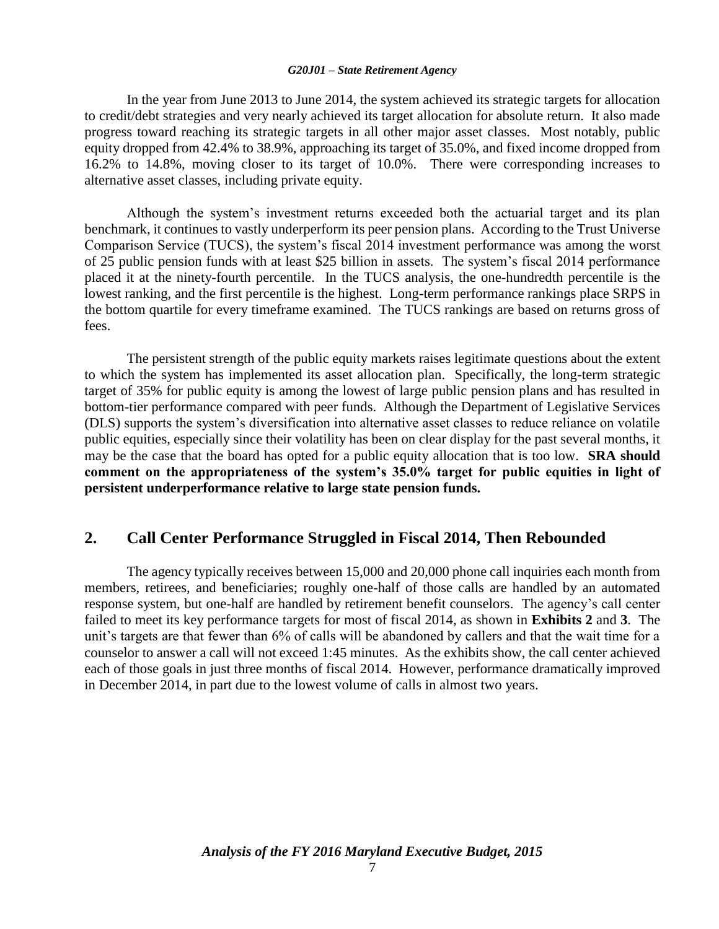#### *G20J01 – State Retirement Agency*

In the year from June 2013 to June 2014, the system achieved its strategic targets for allocation to credit/debt strategies and very nearly achieved its target allocation for absolute return. It also made progress toward reaching its strategic targets in all other major asset classes. Most notably, public equity dropped from 42.4% to 38.9%, approaching its target of 35.0%, and fixed income dropped from 16.2% to 14.8%, moving closer to its target of 10.0%. There were corresponding increases to alternative asset classes, including private equity.

Although the system's investment returns exceeded both the actuarial target and its plan benchmark, it continues to vastly underperform its peer pension plans. According to the Trust Universe Comparison Service (TUCS), the system's fiscal 2014 investment performance was among the worst of 25 public pension funds with at least \$25 billion in assets. The system's fiscal 2014 performance placed it at the ninety-fourth percentile. In the TUCS analysis, the one-hundredth percentile is the lowest ranking, and the first percentile is the highest. Long-term performance rankings place SRPS in the bottom quartile for every timeframe examined. The TUCS rankings are based on returns gross of fees.

The persistent strength of the public equity markets raises legitimate questions about the extent to which the system has implemented its asset allocation plan. Specifically, the long-term strategic target of 35% for public equity is among the lowest of large public pension plans and has resulted in bottom-tier performance compared with peer funds. Although the Department of Legislative Services (DLS) supports the system's diversification into alternative asset classes to reduce reliance on volatile public equities, especially since their volatility has been on clear display for the past several months, it may be the case that the board has opted for a public equity allocation that is too low. **SRA should comment on the appropriateness of the system's 35.0% target for public equities in light of persistent underperformance relative to large state pension funds.**

### **2. Call Center Performance Struggled in Fiscal 2014, Then Rebounded**

The agency typically receives between 15,000 and 20,000 phone call inquiries each month from members, retirees, and beneficiaries; roughly one-half of those calls are handled by an automated response system, but one-half are handled by retirement benefit counselors. The agency's call center failed to meet its key performance targets for most of fiscal 2014, as shown in **Exhibits 2** and **3**. The unit's targets are that fewer than 6% of calls will be abandoned by callers and that the wait time for a counselor to answer a call will not exceed 1:45 minutes. As the exhibits show, the call center achieved each of those goals in just three months of fiscal 2014. However, performance dramatically improved in December 2014, in part due to the lowest volume of calls in almost two years.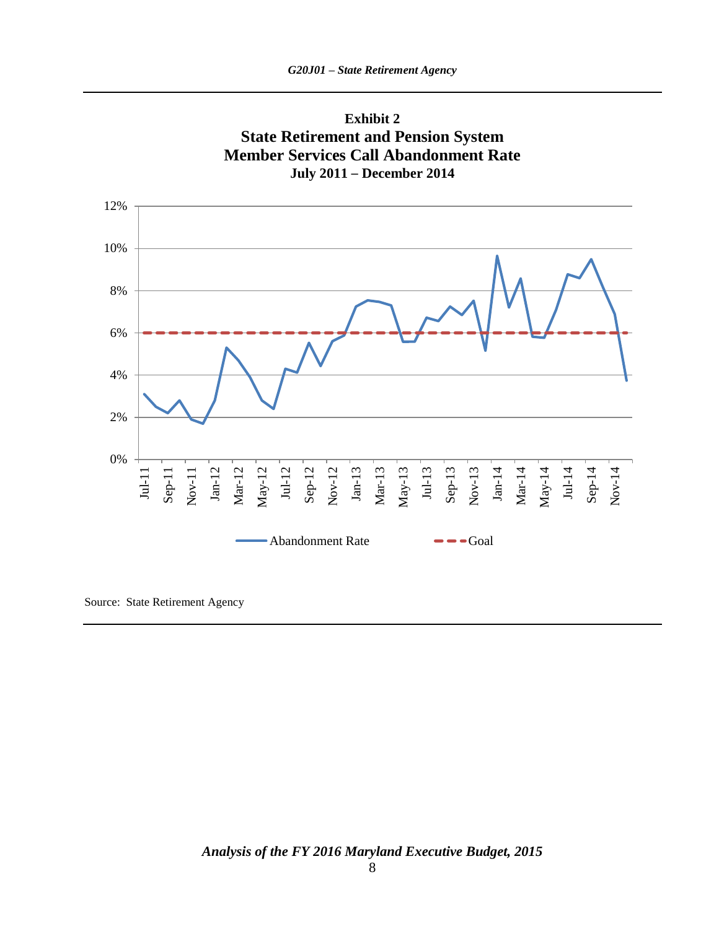



Source: State Retirement Agency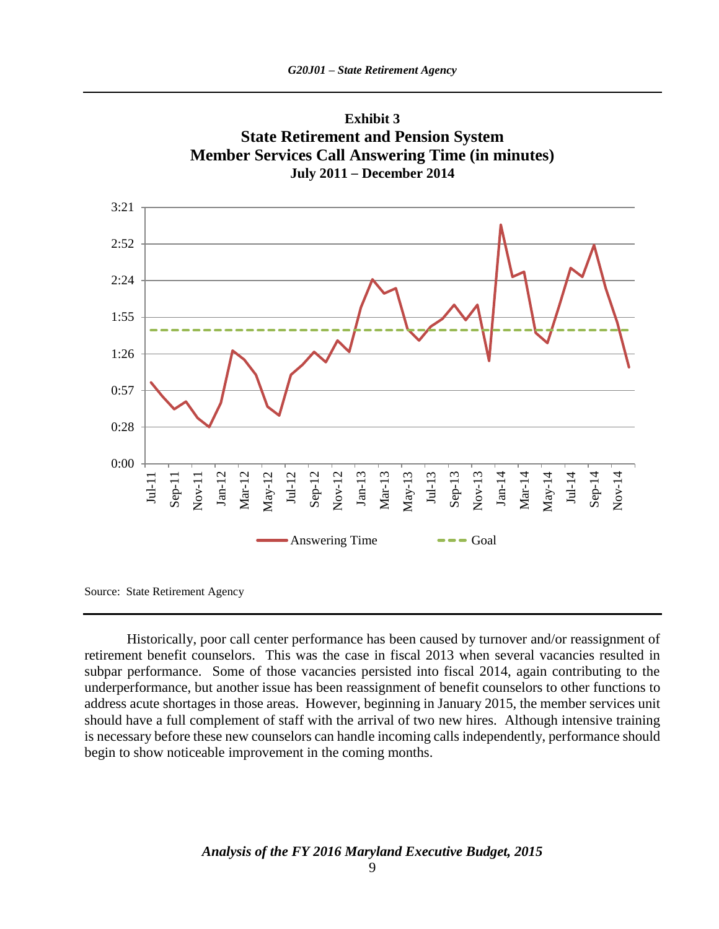



Source: State Retirement Agency

Historically, poor call center performance has been caused by turnover and/or reassignment of retirement benefit counselors. This was the case in fiscal 2013 when several vacancies resulted in subpar performance. Some of those vacancies persisted into fiscal 2014, again contributing to the underperformance, but another issue has been reassignment of benefit counselors to other functions to address acute shortages in those areas. However, beginning in January 2015, the member services unit should have a full complement of staff with the arrival of two new hires. Although intensive training is necessary before these new counselors can handle incoming calls independently, performance should begin to show noticeable improvement in the coming months.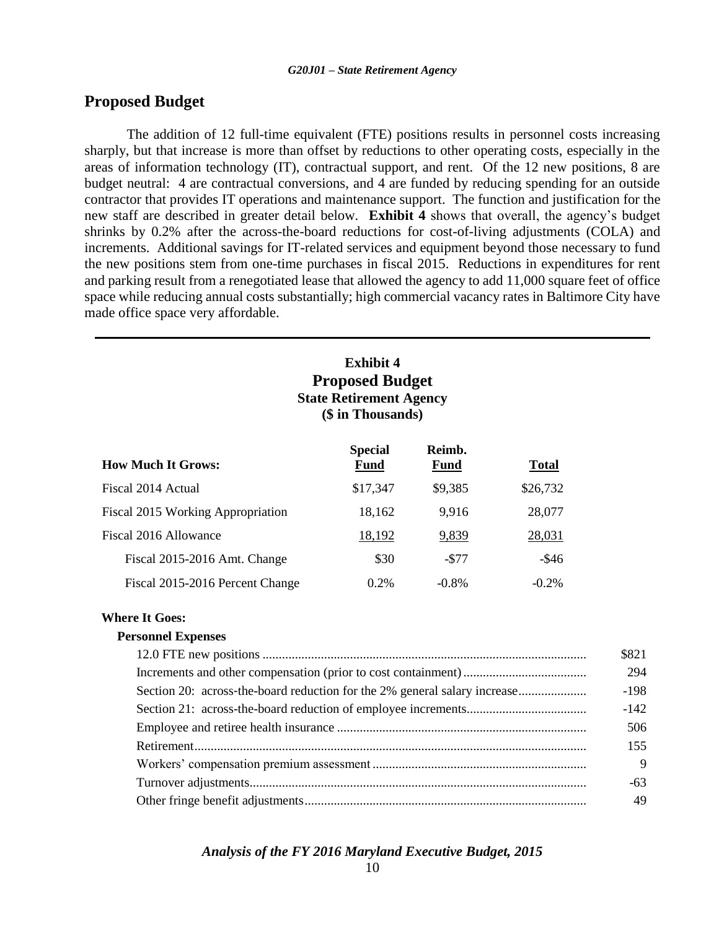### **Proposed Budget**

The addition of 12 full-time equivalent (FTE) positions results in personnel costs increasing sharply, but that increase is more than offset by reductions to other operating costs, especially in the areas of information technology (IT), contractual support, and rent. Of the 12 new positions, 8 are budget neutral: 4 are contractual conversions, and 4 are funded by reducing spending for an outside contractor that provides IT operations and maintenance support. The function and justification for the new staff are described in greater detail below. **Exhibit 4** shows that overall, the agency's budget shrinks by 0.2% after the across-the-board reductions for cost-of-living adjustments (COLA) and increments. Additional savings for IT-related services and equipment beyond those necessary to fund the new positions stem from one-time purchases in fiscal 2015. Reductions in expenditures for rent and parking result from a renegotiated lease that allowed the agency to add 11,000 square feet of office space while reducing annual costs substantially; high commercial vacancy rates in Baltimore City have made office space very affordable.

### **Exhibit 4 Proposed Budget State Retirement Agency (\$ in Thousands)**

| <b>How Much It Grows:</b>         | <b>Special</b><br><b>Fund</b> | Reimb.<br><b>Fund</b> | <b>Total</b> |
|-----------------------------------|-------------------------------|-----------------------|--------------|
| Fiscal 2014 Actual                | \$17,347                      | \$9,385               | \$26,732     |
| Fiscal 2015 Working Appropriation | 18,162                        | 9.916                 | 28,077       |
| Fiscal 2016 Allowance             | 18,192                        | 9,839                 | 28,031       |
| Fiscal 2015-2016 Amt. Change      | \$30                          | $-$ \$77              | $-$ \$46     |
| Fiscal 2015-2016 Percent Change   | $0.2\%$                       | $-0.8\%$              | $-0.2\%$     |

### **Where It Goes:**

### **Personnel Expenses**

|                                                                           | \$821  |
|---------------------------------------------------------------------------|--------|
|                                                                           | 294    |
| Section 20: across-the-board reduction for the 2% general salary increase | $-198$ |
|                                                                           | $-142$ |
|                                                                           | 506    |
|                                                                           | 155    |
|                                                                           | 9      |
|                                                                           | $-63$  |
|                                                                           | 49     |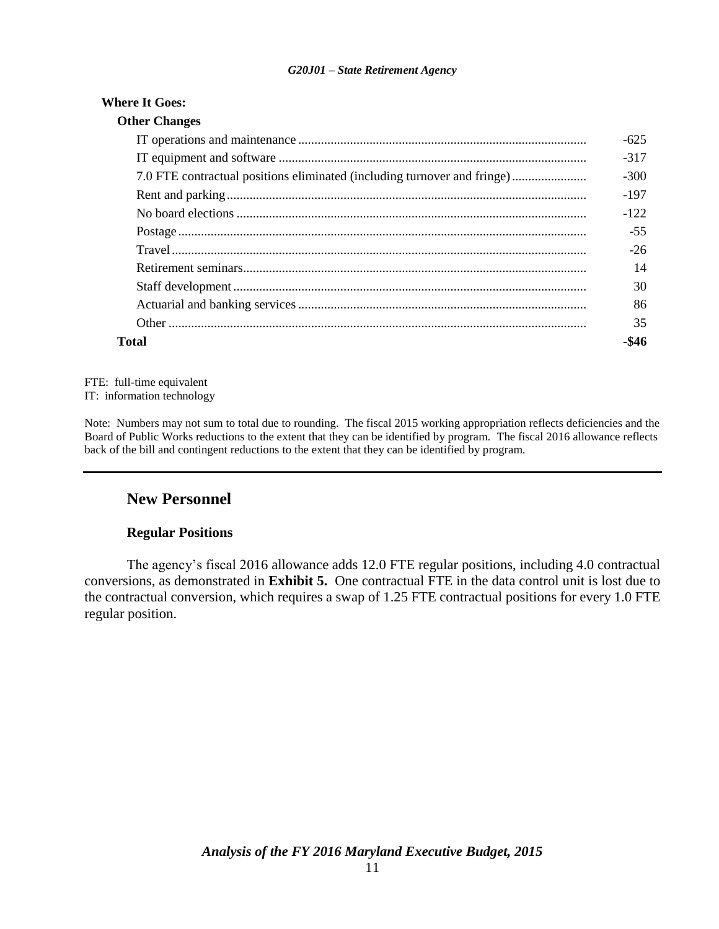### *G20J01 – State Retirement Agency*

### **Where It Goes:**

|                                                                          | $-625$ |
|--------------------------------------------------------------------------|--------|
|                                                                          | $-317$ |
| 7.0 FTE contractual positions eliminated (including turnover and fringe) | $-300$ |
|                                                                          | $-197$ |
|                                                                          | $-122$ |
|                                                                          | $-55$  |
|                                                                          | $-26$  |
|                                                                          | 14     |
|                                                                          | 30     |
|                                                                          | 86     |
|                                                                          | 35     |
| Total                                                                    | -\$46  |

FTE: full-time equivalent IT: information technology

Note: Numbers may not sum to total due to rounding. The fiscal 2015 working appropriation reflects deficiencies and the Board of Public Works reductions to the extent that they can be identified by program. The fiscal 2016 allowance reflects back of the bill and contingent reductions to the extent that they can be identified by program.

### **New Personnel**

### **Regular Positions**

The agency's fiscal 2016 allowance adds 12.0 FTE regular positions, including 4.0 contractual conversions, as demonstrated in **Exhibit 5.** One contractual FTE in the data control unit is lost due to the contractual conversion, which requires a swap of 1.25 FTE contractual positions for every 1.0 FTE regular position.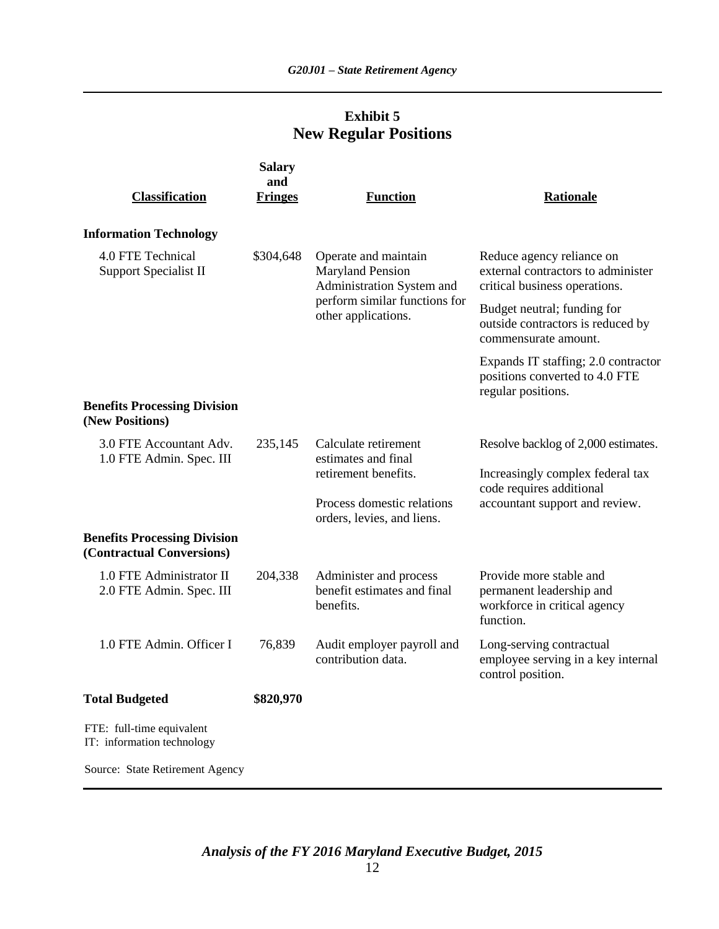## **Exhibit 5 New Regular Positions**

| <b>Classification</b>                                            | <b>Salary</b><br>and<br><b>Fringes</b> | <b>Function</b>                                                              | Rationale                                                                                        |
|------------------------------------------------------------------|----------------------------------------|------------------------------------------------------------------------------|--------------------------------------------------------------------------------------------------|
| <b>Information Technology</b>                                    |                                        |                                                                              |                                                                                                  |
| 4.0 FTE Technical<br>Support Specialist II                       | \$304,648                              | Operate and maintain<br><b>Maryland Pension</b><br>Administration System and | Reduce agency reliance on<br>external contractors to administer<br>critical business operations. |
|                                                                  |                                        | perform similar functions for<br>other applications.                         | Budget neutral; funding for<br>outside contractors is reduced by<br>commensurate amount.         |
|                                                                  |                                        |                                                                              | Expands IT staffing; 2.0 contractor<br>positions converted to 4.0 FTE<br>regular positions.      |
| <b>Benefits Processing Division</b><br>(New Positions)           |                                        |                                                                              |                                                                                                  |
| 3.0 FTE Accountant Adv.<br>1.0 FTE Admin. Spec. III              | 235,145                                | Calculate retirement<br>estimates and final<br>retirement benefits.          | Resolve backlog of 2,000 estimates.                                                              |
|                                                                  |                                        |                                                                              | Increasingly complex federal tax<br>code requires additional                                     |
|                                                                  |                                        | Process domestic relations<br>orders, levies, and liens.                     | accountant support and review.                                                                   |
| <b>Benefits Processing Division</b><br>(Contractual Conversions) |                                        |                                                                              |                                                                                                  |
| 1.0 FTE Administrator II<br>2.0 FTE Admin. Spec. III             | 204,338                                | Administer and process<br>benefit estimates and final<br>benefits.           | Provide more stable and<br>permanent leadership and<br>workforce in critical agency<br>function. |
| 1.0 FTE Admin. Officer I                                         | 76,839                                 | Audit employer payroll and<br>contribution data.                             | Long-serving contractual<br>employee serving in a key internal<br>control position.              |
| <b>Total Budgeted</b>                                            | \$820,970                              |                                                                              |                                                                                                  |
| FTE: full-time equivalent<br>IT: information technology          |                                        |                                                                              |                                                                                                  |
| Source: State Retirement Agency                                  |                                        |                                                                              |                                                                                                  |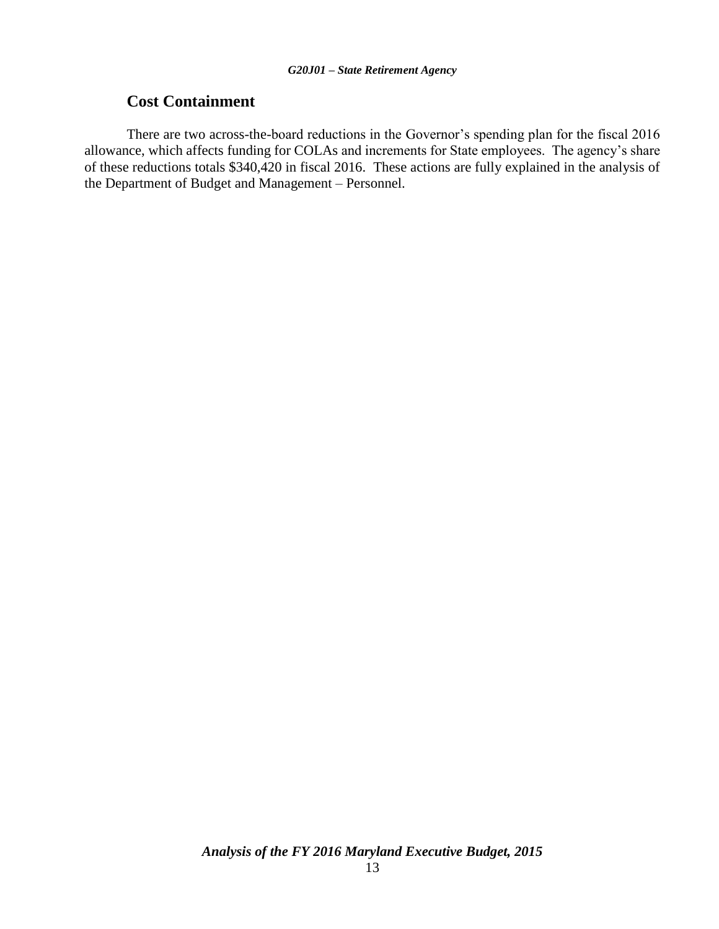## **Cost Containment**

There are two across-the-board reductions in the Governor's spending plan for the fiscal 2016 allowance, which affects funding for COLAs and increments for State employees. The agency's share of these reductions totals \$340,420 in fiscal 2016. These actions are fully explained in the analysis of the Department of Budget and Management – Personnel.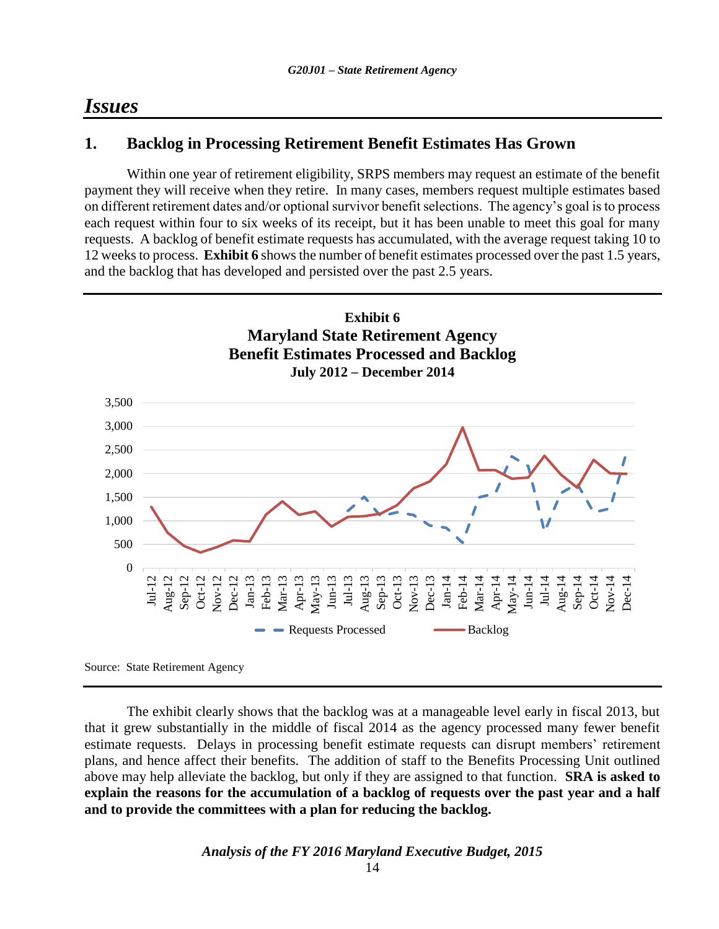## *Issues*

## **1. Backlog in Processing Retirement Benefit Estimates Has Grown**

Within one year of retirement eligibility, SRPS members may request an estimate of the benefit payment they will receive when they retire. In many cases, members request multiple estimates based on different retirement dates and/or optional survivor benefit selections. The agency's goal is to process each request within four to six weeks of its receipt, but it has been unable to meet this goal for many requests. A backlog of benefit estimate requests has accumulated, with the average request taking 10 to 12 weeks to process. **Exhibit 6** shows the number of benefit estimates processed over the past 1.5 years, and the backlog that has developed and persisted over the past 2.5 years.



Source: State Retirement Agency

The exhibit clearly shows that the backlog was at a manageable level early in fiscal 2013, but that it grew substantially in the middle of fiscal 2014 as the agency processed many fewer benefit estimate requests. Delays in processing benefit estimate requests can disrupt members' retirement plans, and hence affect their benefits. The addition of staff to the Benefits Processing Unit outlined above may help alleviate the backlog, but only if they are assigned to that function. **SRA is asked to explain the reasons for the accumulation of a backlog of requests over the past year and a half and to provide the committees with a plan for reducing the backlog.**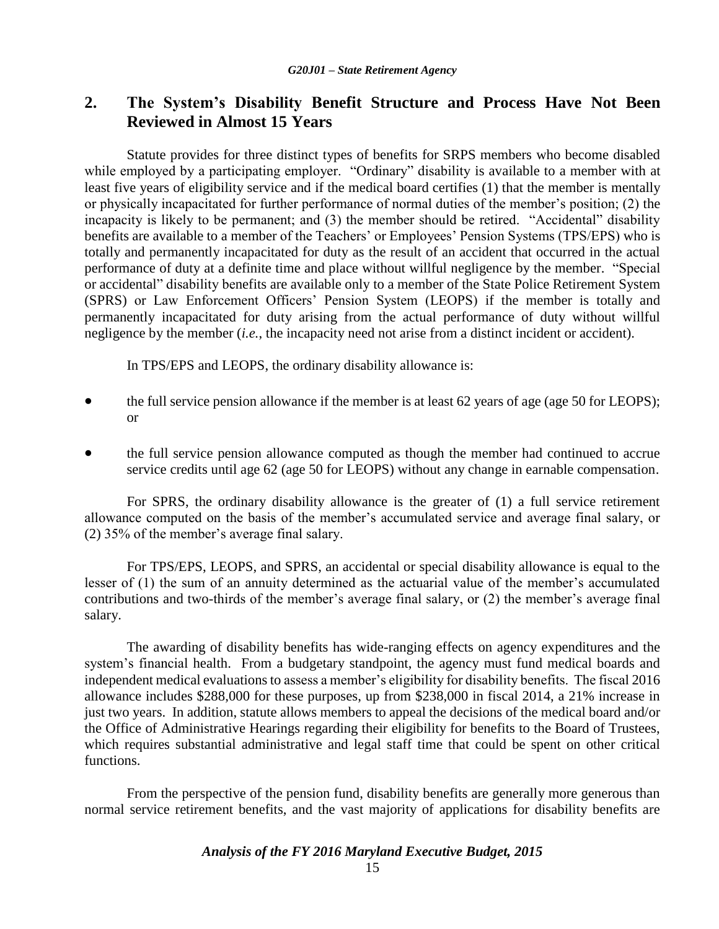## **2. The System's Disability Benefit Structure and Process Have Not Been Reviewed in Almost 15 Years**

Statute provides for three distinct types of benefits for SRPS members who become disabled while employed by a participating employer. "Ordinary" disability is available to a member with at least five years of eligibility service and if the medical board certifies (1) that the member is mentally or physically incapacitated for further performance of normal duties of the member's position; (2) the incapacity is likely to be permanent; and (3) the member should be retired. "Accidental" disability benefits are available to a member of the Teachers' or Employees' Pension Systems (TPS/EPS) who is totally and permanently incapacitated for duty as the result of an accident that occurred in the actual performance of duty at a definite time and place without willful negligence by the member. "Special or accidental" disability benefits are available only to a member of the State Police Retirement System (SPRS) or Law Enforcement Officers' Pension System (LEOPS) if the member is totally and permanently incapacitated for duty arising from the actual performance of duty without willful negligence by the member (*i.e.*, the incapacity need not arise from a distinct incident or accident).

In TPS/EPS and LEOPS, the ordinary disability allowance is:

- the full service pension allowance if the member is at least 62 years of age (age 50 for LEOPS); or
- the full service pension allowance computed as though the member had continued to accrue service credits until age 62 (age 50 for LEOPS) without any change in earnable compensation.

For SPRS, the ordinary disability allowance is the greater of (1) a full service retirement allowance computed on the basis of the member's accumulated service and average final salary, or (2) 35% of the member's average final salary.

For TPS/EPS, LEOPS, and SPRS, an accidental or special disability allowance is equal to the lesser of (1) the sum of an annuity determined as the actuarial value of the member's accumulated contributions and two-thirds of the member's average final salary, or (2) the member's average final salary.

The awarding of disability benefits has wide-ranging effects on agency expenditures and the system's financial health. From a budgetary standpoint, the agency must fund medical boards and independent medical evaluations to assess a member's eligibility for disability benefits. The fiscal 2016 allowance includes \$288,000 for these purposes, up from \$238,000 in fiscal 2014, a 21% increase in just two years. In addition, statute allows members to appeal the decisions of the medical board and/or the Office of Administrative Hearings regarding their eligibility for benefits to the Board of Trustees, which requires substantial administrative and legal staff time that could be spent on other critical functions.

From the perspective of the pension fund, disability benefits are generally more generous than normal service retirement benefits, and the vast majority of applications for disability benefits are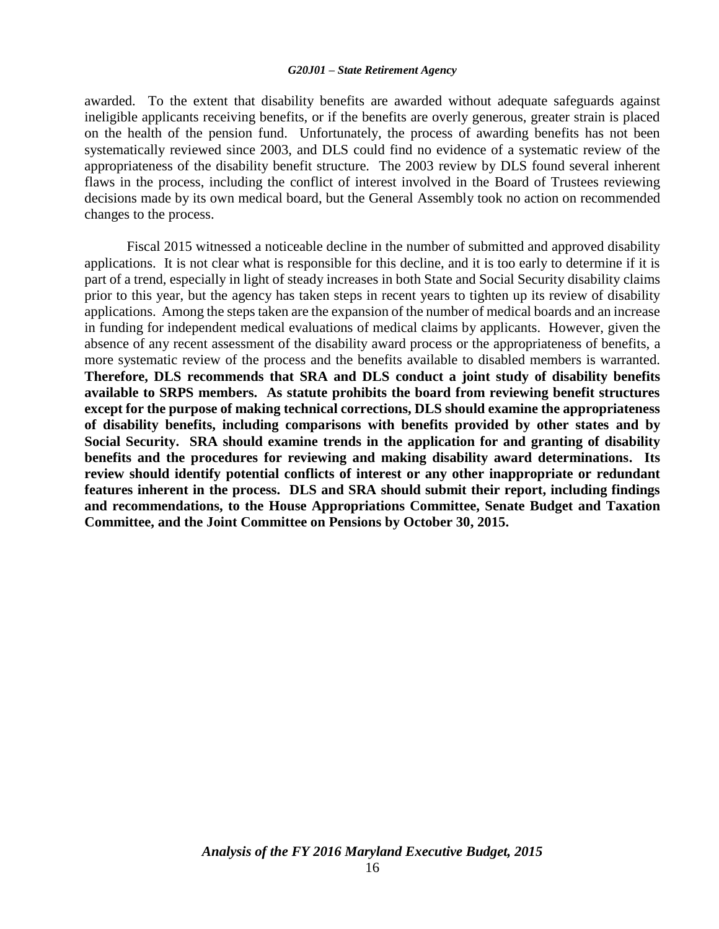#### *G20J01 – State Retirement Agency*

awarded. To the extent that disability benefits are awarded without adequate safeguards against ineligible applicants receiving benefits, or if the benefits are overly generous, greater strain is placed on the health of the pension fund. Unfortunately, the process of awarding benefits has not been systematically reviewed since 2003, and DLS could find no evidence of a systematic review of the appropriateness of the disability benefit structure. The 2003 review by DLS found several inherent flaws in the process, including the conflict of interest involved in the Board of Trustees reviewing decisions made by its own medical board, but the General Assembly took no action on recommended changes to the process.

Fiscal 2015 witnessed a noticeable decline in the number of submitted and approved disability applications. It is not clear what is responsible for this decline, and it is too early to determine if it is part of a trend, especially in light of steady increases in both State and Social Security disability claims prior to this year, but the agency has taken steps in recent years to tighten up its review of disability applications. Among the steps taken are the expansion of the number of medical boards and an increase in funding for independent medical evaluations of medical claims by applicants. However, given the absence of any recent assessment of the disability award process or the appropriateness of benefits, a more systematic review of the process and the benefits available to disabled members is warranted. **Therefore, DLS recommends that SRA and DLS conduct a joint study of disability benefits available to SRPS members. As statute prohibits the board from reviewing benefit structures except for the purpose of making technical corrections, DLS should examine the appropriateness of disability benefits, including comparisons with benefits provided by other states and by Social Security. SRA should examine trends in the application for and granting of disability benefits and the procedures for reviewing and making disability award determinations. Its review should identify potential conflicts of interest or any other inappropriate or redundant features inherent in the process. DLS and SRA should submit their report, including findings and recommendations, to the House Appropriations Committee, Senate Budget and Taxation Committee, and the Joint Committee on Pensions by October 30, 2015.**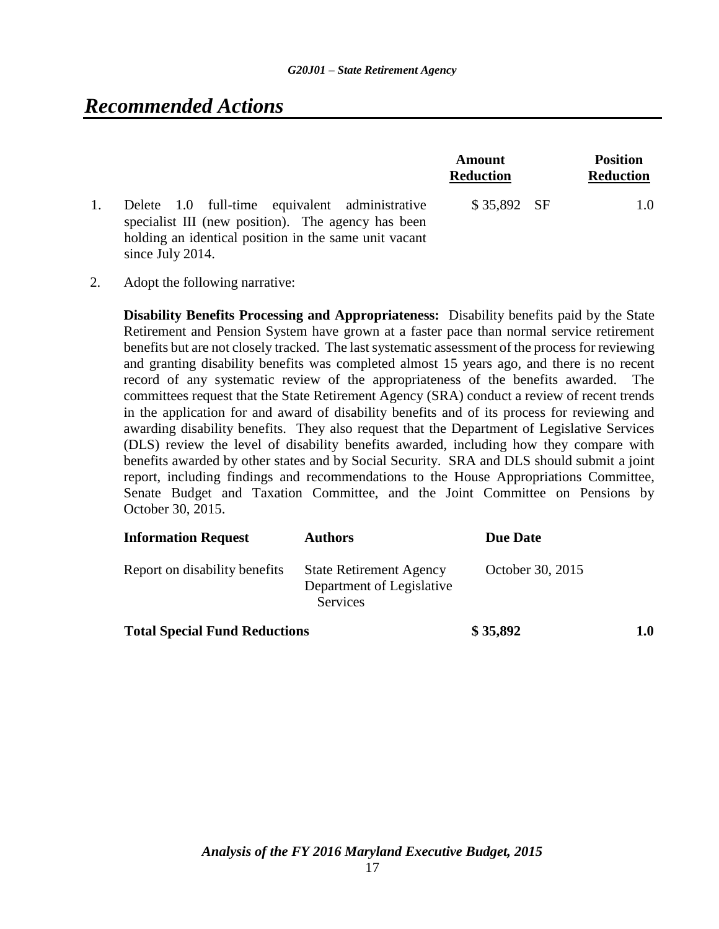# *Recommended Actions*

|                                                                                                                                                                                   | Amount<br><b>Reduction</b> | <b>Position</b><br><b>Reduction</b> |
|-----------------------------------------------------------------------------------------------------------------------------------------------------------------------------------|----------------------------|-------------------------------------|
| Delete 1.0 full-time equivalent administrative<br>specialist III (new position). The agency has been<br>holding an identical position in the same unit vacant<br>since July 2014. | $$35,892$ SF               | 1.0                                 |

2. Adopt the following narrative:

**Disability Benefits Processing and Appropriateness:** Disability benefits paid by the State Retirement and Pension System have grown at a faster pace than normal service retirement benefits but are not closely tracked. The last systematic assessment of the process for reviewing and granting disability benefits was completed almost 15 years ago, and there is no recent record of any systematic review of the appropriateness of the benefits awarded. The committees request that the State Retirement Agency (SRA) conduct a review of recent trends in the application for and award of disability benefits and of its process for reviewing and awarding disability benefits. They also request that the Department of Legislative Services (DLS) review the level of disability benefits awarded, including how they compare with benefits awarded by other states and by Social Security. SRA and DLS should submit a joint report, including findings and recommendations to the House Appropriations Committee, Senate Budget and Taxation Committee, and the Joint Committee on Pensions by October 30, 2015.

| <b>Information Request</b>           | <b>Authors</b>                                                          | <b>Due Date</b>  |         |
|--------------------------------------|-------------------------------------------------------------------------|------------------|---------|
| Report on disability benefits        | <b>State Retirement Agency</b><br>Department of Legislative<br>Services | October 30, 2015 |         |
| <b>Total Special Fund Reductions</b> |                                                                         | \$35,892         | $1.0\,$ |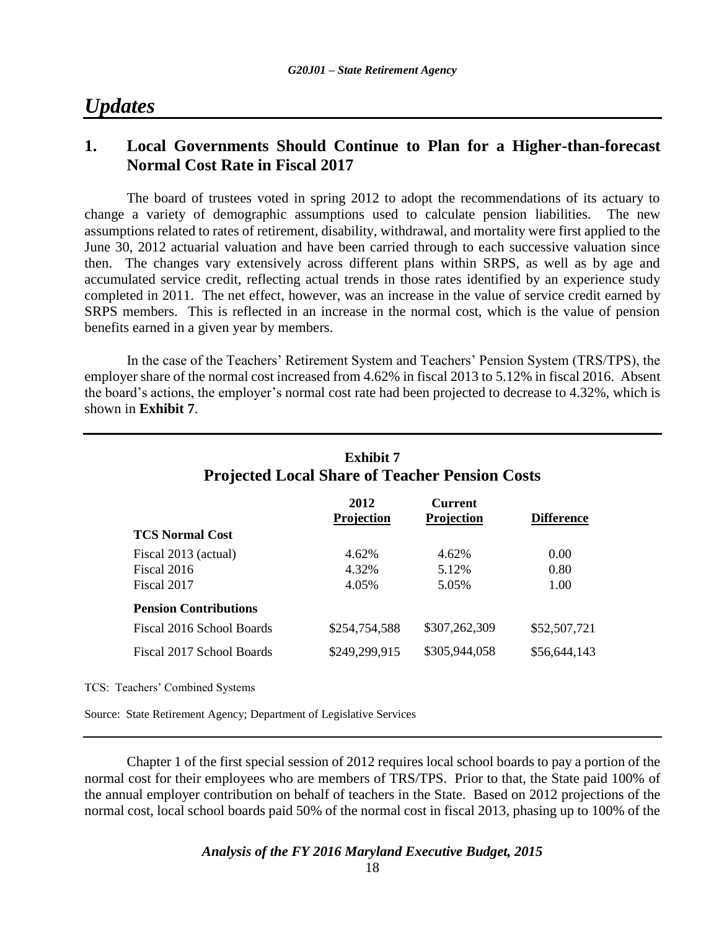# *Updates*

## **1. Local Governments Should Continue to Plan for a Higher-than-forecast Normal Cost Rate in Fiscal 2017**

The board of trustees voted in spring 2012 to adopt the recommendations of its actuary to change a variety of demographic assumptions used to calculate pension liabilities. The new assumptions related to rates of retirement, disability, withdrawal, and mortality were first applied to the June 30, 2012 actuarial valuation and have been carried through to each successive valuation since then. The changes vary extensively across different plans within SRPS, as well as by age and accumulated service credit, reflecting actual trends in those rates identified by an experience study completed in 2011. The net effect, however, was an increase in the value of service credit earned by SRPS members. This is reflected in an increase in the normal cost, which is the value of pension benefits earned in a given year by members.

In the case of the Teachers' Retirement System and Teachers' Pension System (TRS/TPS), the employer share of the normal cost increased from 4.62% in fiscal 2013 to 5.12% in fiscal 2016. Absent the board's actions, the employer's normal cost rate had been projected to decrease to 4.32%, which is shown in **Exhibit 7**.

| <b>Exhibit 7</b><br><b>Projected Local Share of Teacher Pension Costs</b> |                    |                              |                   |
|---------------------------------------------------------------------------|--------------------|------------------------------|-------------------|
|                                                                           | 2012<br>Projection | <b>Current</b><br>Projection | <b>Difference</b> |
| <b>TCS Normal Cost</b>                                                    |                    |                              |                   |
| Fiscal 2013 (actual)                                                      | 4.62%              | 4.62%                        | 0.00              |
| Fiscal 2016                                                               | 4.32%              | 5.12%                        | 0.80              |
| Fiscal 2017                                                               | 4.05%              | 5.05%                        | 1.00              |
| <b>Pension Contributions</b>                                              |                    |                              |                   |
| Fiscal 2016 School Boards                                                 | \$254,754,588      | \$307,262,309                | \$52,507,721      |
| Fiscal 2017 School Boards                                                 | \$249,299,915      | \$305,944,058                | \$56,644,143      |

TCS: Teachers' Combined Systems

Source: State Retirement Agency; Department of Legislative Services

Chapter 1 of the first special session of 2012 requires local school boards to pay a portion of the normal cost for their employees who are members of TRS/TPS. Prior to that, the State paid 100% of the annual employer contribution on behalf of teachers in the State. Based on 2012 projections of the normal cost, local school boards paid 50% of the normal cost in fiscal 2013, phasing up to 100% of the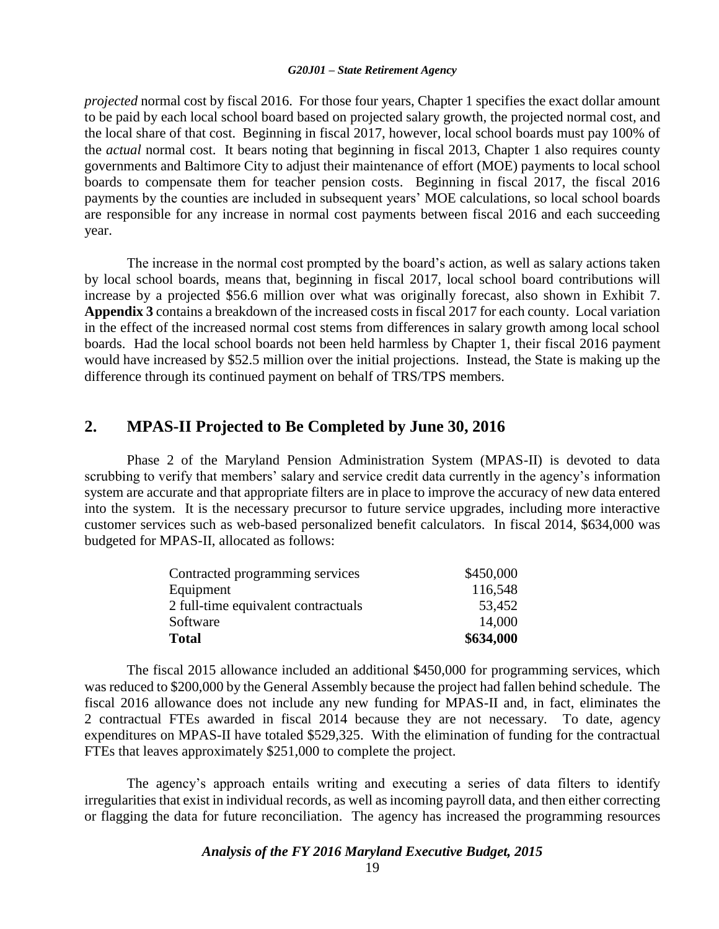#### *G20J01 – State Retirement Agency*

*projected* normal cost by fiscal 2016. For those four years, Chapter 1 specifies the exact dollar amount to be paid by each local school board based on projected salary growth, the projected normal cost, and the local share of that cost. Beginning in fiscal 2017, however, local school boards must pay 100% of the *actual* normal cost. It bears noting that beginning in fiscal 2013, Chapter 1 also requires county governments and Baltimore City to adjust their maintenance of effort (MOE) payments to local school boards to compensate them for teacher pension costs. Beginning in fiscal 2017, the fiscal 2016 payments by the counties are included in subsequent years' MOE calculations, so local school boards are responsible for any increase in normal cost payments between fiscal 2016 and each succeeding year.

The increase in the normal cost prompted by the board's action, as well as salary actions taken by local school boards, means that, beginning in fiscal 2017, local school board contributions will increase by a projected \$56.6 million over what was originally forecast, also shown in Exhibit 7. **Appendix 3** contains a breakdown of the increased costs in fiscal 2017 for each county. Local variation in the effect of the increased normal cost stems from differences in salary growth among local school boards. Had the local school boards not been held harmless by Chapter 1, their fiscal 2016 payment would have increased by \$52.5 million over the initial projections. Instead, the State is making up the difference through its continued payment on behalf of TRS/TPS members.

### **2. MPAS-II Projected to Be Completed by June 30, 2016**

Phase 2 of the Maryland Pension Administration System (MPAS-II) is devoted to data scrubbing to verify that members' salary and service credit data currently in the agency's information system are accurate and that appropriate filters are in place to improve the accuracy of new data entered into the system. It is the necessary precursor to future service upgrades, including more interactive customer services such as web-based personalized benefit calculators. In fiscal 2014, \$634,000 was budgeted for MPAS-II, allocated as follows:

| Contracted programming services     | \$450,000 |
|-------------------------------------|-----------|
| Equipment                           | 116,548   |
| 2 full-time equivalent contractuals | 53,452    |
| Software                            | 14,000    |
| <b>Total</b>                        | \$634,000 |

The fiscal 2015 allowance included an additional \$450,000 for programming services, which was reduced to \$200,000 by the General Assembly because the project had fallen behind schedule. The fiscal 2016 allowance does not include any new funding for MPAS-II and, in fact, eliminates the 2 contractual FTEs awarded in fiscal 2014 because they are not necessary. To date, agency expenditures on MPAS-II have totaled \$529,325. With the elimination of funding for the contractual FTEs that leaves approximately \$251,000 to complete the project.

The agency's approach entails writing and executing a series of data filters to identify irregularities that exist in individual records, as well as incoming payroll data, and then either correcting or flagging the data for future reconciliation. The agency has increased the programming resources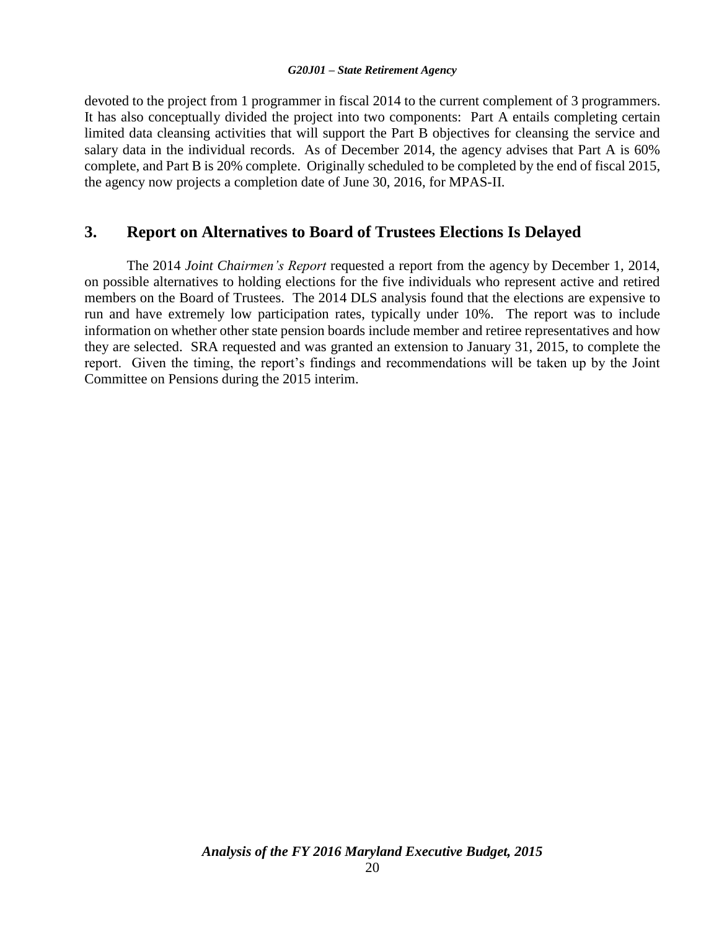### *G20J01 – State Retirement Agency*

devoted to the project from 1 programmer in fiscal 2014 to the current complement of 3 programmers. It has also conceptually divided the project into two components: Part A entails completing certain limited data cleansing activities that will support the Part B objectives for cleansing the service and salary data in the individual records. As of December 2014, the agency advises that Part A is 60% complete, and Part B is 20% complete. Originally scheduled to be completed by the end of fiscal 2015, the agency now projects a completion date of June 30, 2016, for MPAS-II.

### **3. Report on Alternatives to Board of Trustees Elections Is Delayed**

The 2014 *Joint Chairmen's Report* requested a report from the agency by December 1, 2014, on possible alternatives to holding elections for the five individuals who represent active and retired members on the Board of Trustees. The 2014 DLS analysis found that the elections are expensive to run and have extremely low participation rates, typically under 10%. The report was to include information on whether other state pension boards include member and retiree representatives and how they are selected. SRA requested and was granted an extension to January 31, 2015, to complete the report. Given the timing, the report's findings and recommendations will be taken up by the Joint Committee on Pensions during the 2015 interim.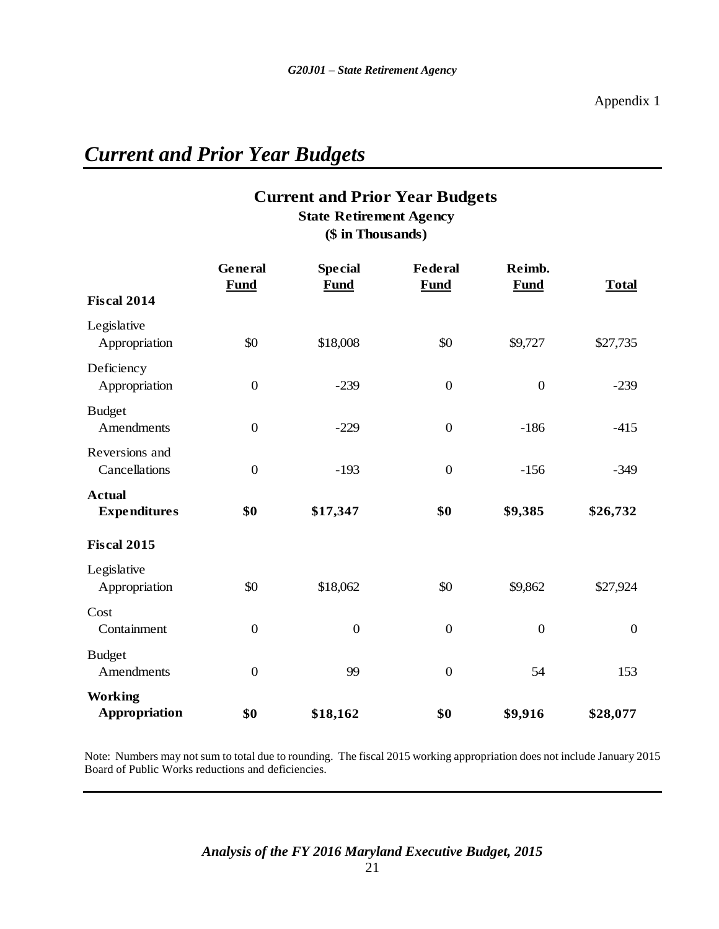# *Current and Prior Year Budgets*

## **Current and Prior Year Budgets State Retirement Agency**

**(\$ in Thousands)**

|                                      | General<br><b>Fund</b> | <b>Special</b><br><b>Fund</b> | <b>Federal</b><br><b>Fund</b> | Reimb.<br><b>Fund</b> | <b>Total</b>     |
|--------------------------------------|------------------------|-------------------------------|-------------------------------|-----------------------|------------------|
| <b>Fiscal 2014</b>                   |                        |                               |                               |                       |                  |
| Legislative<br>Appropriation         | \$0                    | \$18,008                      | \$0                           | \$9,727               | \$27,735         |
| Deficiency<br>Appropriation          | $\boldsymbol{0}$       | $-239$                        | $\boldsymbol{0}$              | $\boldsymbol{0}$      | $-239$           |
| <b>Budget</b><br>Amendments          | $\boldsymbol{0}$       | $-229$                        | $\boldsymbol{0}$              | $-186$                | $-415$           |
| Reversions and<br>Cancellations      | $\overline{0}$         | $-193$                        | $\overline{0}$                | $-156$                | $-349$           |
| <b>Actual</b><br><b>Expenditures</b> | \$0                    | \$17,347                      | \$0                           | \$9,385               | \$26,732         |
| <b>Fiscal 2015</b>                   |                        |                               |                               |                       |                  |
| Legislative<br>Appropriation         | \$0                    | \$18,062                      | \$0                           | \$9,862               | \$27,924         |
| Cost<br>Containment                  | $\boldsymbol{0}$       | $\boldsymbol{0}$              | $\boldsymbol{0}$              | $\boldsymbol{0}$      | $\boldsymbol{0}$ |
| <b>Budget</b><br>Amendments          | $\boldsymbol{0}$       | 99                            | $\boldsymbol{0}$              | 54                    | 153              |
| <b>Working</b><br>Appropriation      | \$0                    | \$18,162                      | \$0                           | \$9,916               | \$28,077         |

Note: Numbers may not sum to total due to rounding. The fiscal 2015 working appropriation does not include January 2015 Board of Public Works reductions and deficiencies.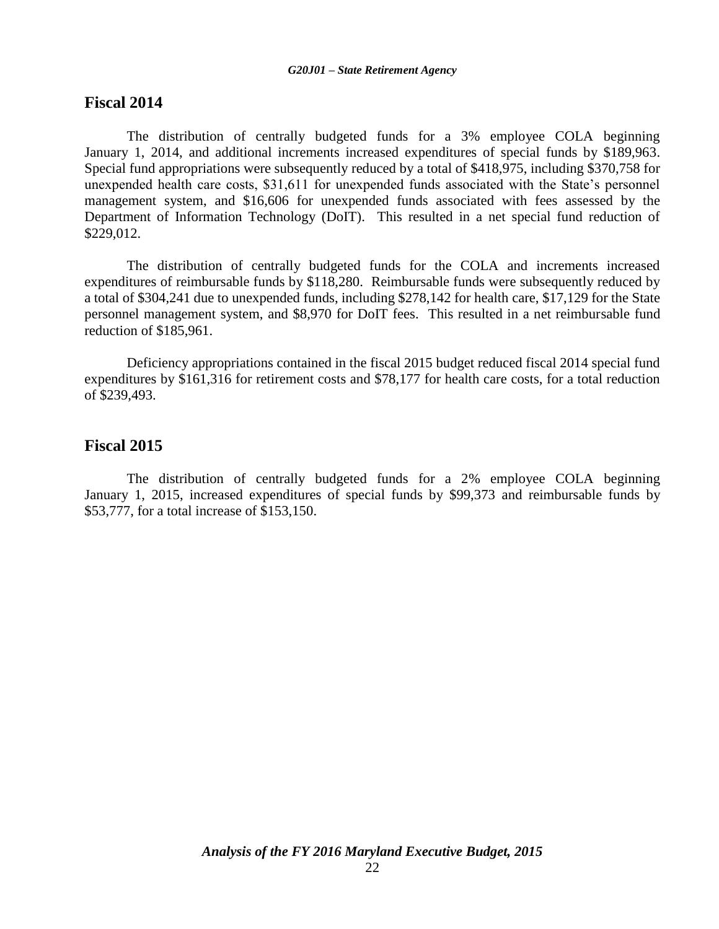### **Fiscal 2014**

The distribution of centrally budgeted funds for a 3% employee COLA beginning January 1, 2014, and additional increments increased expenditures of special funds by \$189,963. Special fund appropriations were subsequently reduced by a total of \$418,975, including \$370,758 for unexpended health care costs, \$31,611 for unexpended funds associated with the State's personnel management system, and \$16,606 for unexpended funds associated with fees assessed by the Department of Information Technology (DoIT). This resulted in a net special fund reduction of \$229,012.

The distribution of centrally budgeted funds for the COLA and increments increased expenditures of reimbursable funds by \$118,280. Reimbursable funds were subsequently reduced by a total of \$304,241 due to unexpended funds, including \$278,142 for health care, \$17,129 for the State personnel management system, and \$8,970 for DoIT fees. This resulted in a net reimbursable fund reduction of \$185,961.

Deficiency appropriations contained in the fiscal 2015 budget reduced fiscal 2014 special fund expenditures by \$161,316 for retirement costs and \$78,177 for health care costs, for a total reduction of \$239,493.

### **Fiscal 2015**

The distribution of centrally budgeted funds for a 2% employee COLA beginning January 1, 2015, increased expenditures of special funds by \$99,373 and reimbursable funds by \$53,777, for a total increase of \$153,150.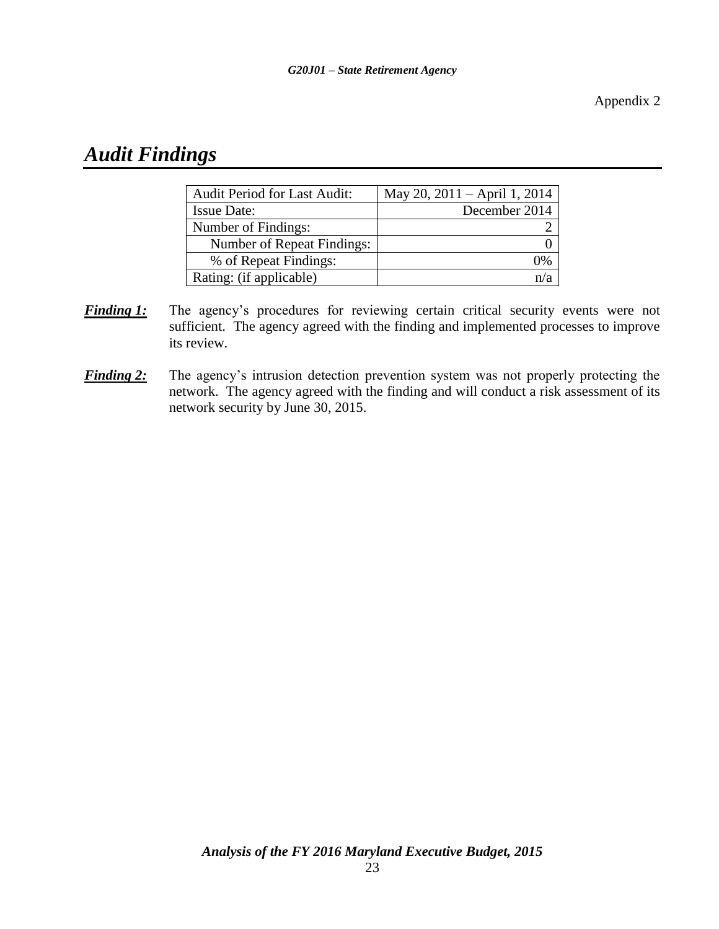Appendix 2

# *Audit Findings*

| <b>Audit Period for Last Audit:</b> | May 20, 2011 – April 1, 2014 |
|-------------------------------------|------------------------------|
| <b>Issue Date:</b>                  | December 2014                |
| Number of Findings:                 |                              |
| Number of Repeat Findings:          |                              |
| % of Repeat Findings:               |                              |
| Rating: (if applicable)             |                              |

- *Finding 1:* The agency's procedures for reviewing certain critical security events were not sufficient. The agency agreed with the finding and implemented processes to improve its review.
- **Finding 2:** The agency's intrusion detection prevention system was not properly protecting the network. The agency agreed with the finding and will conduct a risk assessment of its network security by June 30, 2015.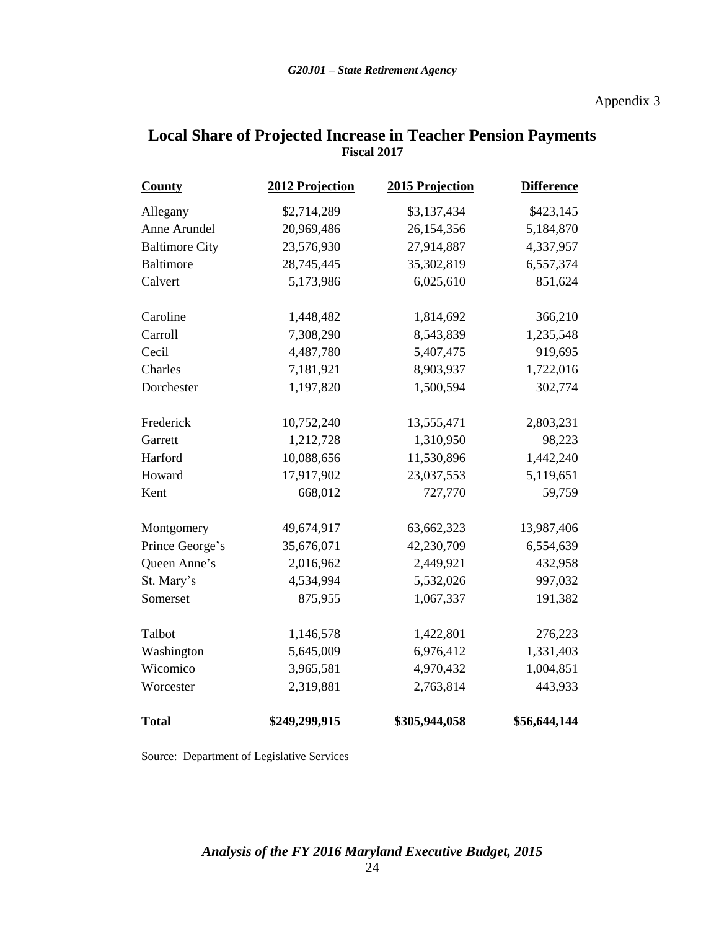### Appendix 3

| <b>County</b>         | 2012 Projection | 2015 Projection | <b>Difference</b> |
|-----------------------|-----------------|-----------------|-------------------|
| Allegany              | \$2,714,289     | \$3,137,434     | \$423,145         |
| Anne Arundel          | 20,969,486      | 26,154,356      | 5,184,870         |
| <b>Baltimore City</b> | 23,576,930      | 27,914,887      | 4,337,957         |
| <b>Baltimore</b>      | 28,745,445      | 35,302,819      | 6,557,374         |
| Calvert               | 5,173,986       | 6,025,610       | 851,624           |
| Caroline              | 1,448,482       | 1,814,692       | 366,210           |
| Carroll               | 7,308,290       | 8,543,839       | 1,235,548         |
| Cecil                 | 4,487,780       | 5,407,475       | 919,695           |
| Charles               | 7,181,921       | 8,903,937       | 1,722,016         |
| Dorchester            | 1,197,820       | 1,500,594       | 302,774           |
| Frederick             | 10,752,240      | 13,555,471      | 2,803,231         |
| Garrett               | 1,212,728       | 1,310,950       | 98,223            |
| Harford               | 10,088,656      | 11,530,896      | 1,442,240         |
| Howard                | 17,917,902      | 23,037,553      | 5,119,651         |
| Kent                  | 668,012         | 727,770         | 59,759            |
| Montgomery            | 49,674,917      | 63,662,323      | 13,987,406        |
| Prince George's       | 35,676,071      | 42,230,709      | 6,554,639         |
| Queen Anne's          | 2,016,962       | 2,449,921       | 432,958           |
| St. Mary's            | 4,534,994       | 5,532,026       | 997,032           |
| Somerset              | 875,955         | 1,067,337       | 191,382           |
| Talbot                | 1,146,578       | 1,422,801       | 276,223           |
| Washington            | 5,645,009       | 6,976,412       | 1,331,403         |
| Wicomico              | 3,965,581       | 4,970,432       | 1,004,851         |
| Worcester             | 2,319,881       | 2,763,814       | 443,933           |
| <b>Total</b>          | \$249,299,915   | \$305,944,058   | \$56,644,144      |

### **Local Share of Projected Increase in Teacher Pension Payments Fiscal 2017**

Source: Department of Legislative Services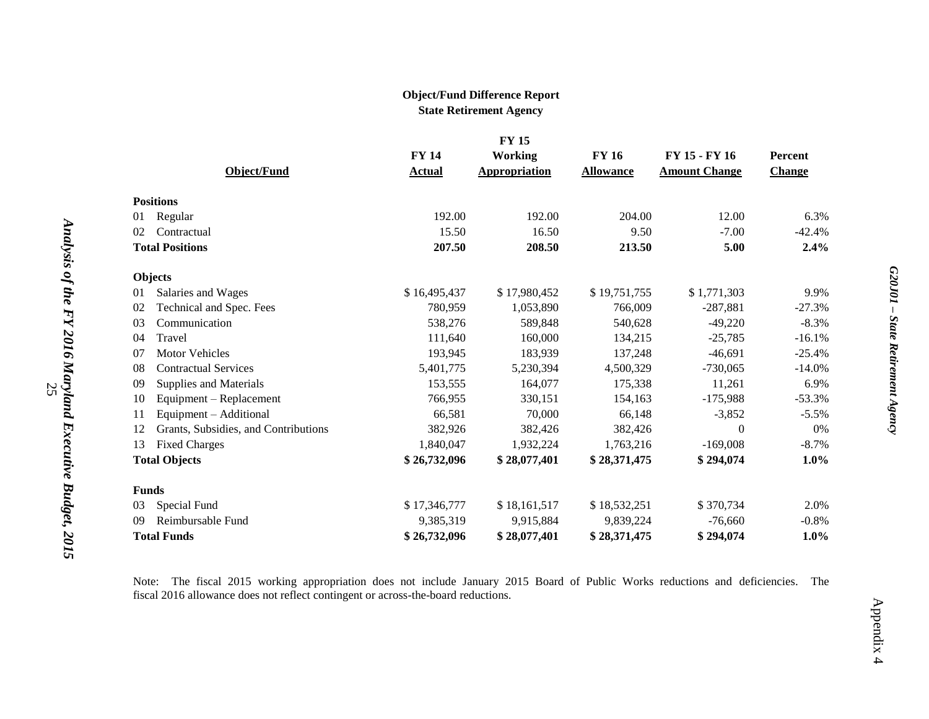### **Object/Fund Difference Report State Retirement Agency**

|              | <b>FY15</b>                          |               |                      |                  |                      |               |
|--------------|--------------------------------------|---------------|----------------------|------------------|----------------------|---------------|
|              |                                      | <b>FY 14</b>  | <b>Working</b>       | <b>FY 16</b>     | FY 15 - FY 16        | Percent       |
|              | Object/Fund                          | <b>Actual</b> | <b>Appropriation</b> | <b>Allowance</b> | <b>Amount Change</b> | <b>Change</b> |
|              | <b>Positions</b>                     |               |                      |                  |                      |               |
| 01           | Regular                              | 192.00        | 192.00               | 204.00           | 12.00                | 6.3%          |
| 02           | Contractual                          | 15.50         | 16.50                | 9.50             | $-7.00$              | $-42.4%$      |
|              | <b>Total Positions</b>               | 207.50        | 208.50               | 213.50           | 5.00                 | 2.4%          |
|              | Objects                              |               |                      |                  |                      |               |
| 01           | Salaries and Wages                   | \$16,495,437  | \$17,980,452         | \$19,751,755     | \$1,771,303          | 9.9%          |
| 02           | Technical and Spec. Fees             | 780,959       | 1,053,890            | 766,009          | $-287,881$           | $-27.3%$      |
| 03           | Communication                        | 538,276       | 589,848              | 540,628          | $-49,220$            | $-8.3\%$      |
| 04           | Travel                               | 111,640       | 160,000              | 134,215          | $-25,785$            | $-16.1%$      |
| 07           | <b>Motor Vehicles</b>                | 193,945       | 183,939              | 137,248          | $-46,691$            | $-25.4%$      |
| 08           | <b>Contractual Services</b>          | 5,401,775     | 5,230,394            | 4,500,329        | $-730,065$           | $-14.0%$      |
| 09           | Supplies and Materials               | 153,555       | 164,077              | 175,338          | 11,261               | 6.9%          |
| 10           | Equipment - Replacement              | 766,955       | 330,151              | 154,163          | $-175,988$           | $-53.3%$      |
| 11           | Equipment - Additional               | 66,581        | 70,000               | 66,148           | $-3,852$             | $-5.5\%$      |
| 12           | Grants, Subsidies, and Contributions | 382,926       | 382,426              | 382,426          | 0                    | 0%            |
| 13           | <b>Fixed Charges</b>                 | 1,840,047     | 1,932,224            | 1,763,216        | $-169,008$           | $-8.7\%$      |
|              | <b>Total Objects</b>                 | \$26,732,096  | \$28,077,401         | \$28,371,475     | \$294,074            | $1.0\%$       |
| <b>Funds</b> |                                      |               |                      |                  |                      |               |
| 03           | Special Fund                         | \$17,346,777  | \$18,161,517         | \$18,532,251     | \$370,734            | 2.0%          |
| 09           | Reimbursable Fund                    | 9,385,319     | 9,915,884            | 9,839,224        | $-76,660$            | $-0.8\%$      |
|              | <b>Total Funds</b>                   | \$26,732,096  | \$28,077,401         | \$28,371,475     | \$294,074            | 1.0%          |

Note: The fiscal 2015 working appropriation does not include January 2015 Board of Public Works reductions and deficiencies. The fiscal 2016 allowance does not reflect contingent or across-the-board reductions.